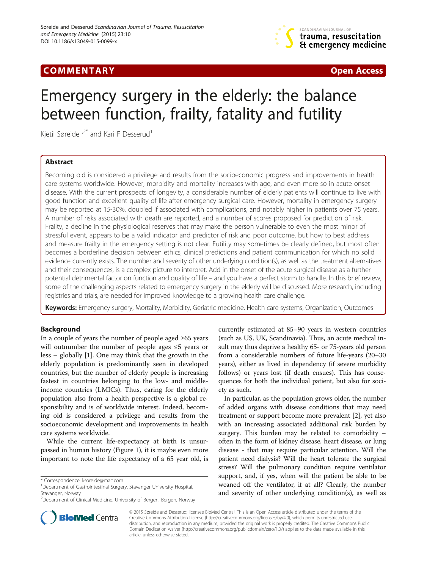## **COMMENTARY COMMENTARY Open Access**



# Emergency surgery in the elderly: the balance between function, frailty, fatality and futility

Kjetil Søreide<sup>1,2\*</sup> and Kari F Desserud<sup>1</sup>

## Abstract

Becoming old is considered a privilege and results from the socioeconomic progress and improvements in health care systems worldwide. However, morbidity and mortality increases with age, and even more so in acute onset disease. With the current prospects of longevity, a considerable number of elderly patients will continue to live with good function and excellent quality of life after emergency surgical care. However, mortality in emergency surgery may be reported at 15-30%, doubled if associated with complications, and notably higher in patients over 75 years. A number of risks associated with death are reported, and a number of scores proposed for prediction of risk. Frailty, a decline in the physiological reserves that may make the person vulnerable to even the most minor of stressful event, appears to be a valid indicator and predictor of risk and poor outcome, but how to best address and measure frailty in the emergency setting is not clear. Futility may sometimes be clearly defined, but most often becomes a borderline decision between ethics, clinical predictions and patient communication for which no solid evidence currently exists. The number and severity of other underlying condition(s), as well as the treatment alternatives and their consequences, is a complex picture to interpret. Add in the onset of the acute surgical disease as a further potential detrimental factor on function and quality of life – and you have a perfect storm to handle. In this brief review, some of the challenging aspects related to emergency surgery in the elderly will be discussed. More research, including registries and trials, are needed for improved knowledge to a growing health care challenge.

Keywords: Emergency surgery, Mortality, Morbidity, Geriatric medicine, Health care systems, Organization, Outcomes

## Background

In a couple of years the number of people aged ≥65 years will outnumber the number of people ages ≤5 years or less – globally [\[1\]](#page-5-0). One may think that the growth in the elderly population is predominantly seen in developed countries, but the number of elderly people is increasing fastest in countries belonging to the low- and middleincome countries (LMICs). Thus, caring for the elderly population also from a health perspective is a global responsibility and is of worldwide interest. Indeed, becoming old is considered a privilege and results from the socioeconomic development and improvements in health care systems worldwide.

While the current life-expectancy at birth is unsurpassed in human history (Figure [1\)](#page-1-0), it is maybe even more important to note the life expectancy of a 65 year old, is

currently estimated at 85–90 years in western countries (such as US, UK, Scandinavia). Thus, an acute medical insult may thus deprive a healthy 65- or 75-years old person from a considerable numbers of future life-years (20–30 years), either as lived in dependency (if severe morbidity follows) or years lost (if death ensues). This has consequences for both the individual patient, but also for society as such.

In particular, as the population grows older, the number of added organs with disease conditions that may need treatment or support become more prevalent [[2\]](#page-5-0), yet also with an increasing associated additional risk burden by surgery. This burden may be related to comorbidity – often in the form of kidney disease, heart disease, or lung disease - that may require particular attention. Will the patient need dialysis? Will the heart tolerate the surgical stress? Will the pulmonary condition require ventilator support, and, if yes, when will the patient be able to be weaned off the ventilator, if at all? Clearly, the number and severity of other underlying condition(s), as well as



© 2015 Søreide and Desserud; licensee BioMed Central. This is an Open Access article distributed under the terms of the Creative Commons Attribution License (<http://creativecommons.org/licenses/by/4.0>), which permits unrestricted use, distribution, and reproduction in any medium, provided the original work is properly credited. The Creative Commons Public Domain Dedication waiver [\(http://creativecommons.org/publicdomain/zero/1.0/\)](http://creativecommons.org/publicdomain/zero/1.0/) applies to the data made available in this article, unless otherwise stated.

<sup>\*</sup> Correspondence: [ksoreide@mac.com](mailto:ksoreide@mac.com) <sup>1</sup>

<sup>&</sup>lt;sup>1</sup>Department of Gastrointestinal Surgery, Stavanger University Hospital, Stavanger, Norway

<sup>&</sup>lt;sup>2</sup>Department of Clinical Medicine, University of Bergen, Bergen, Norway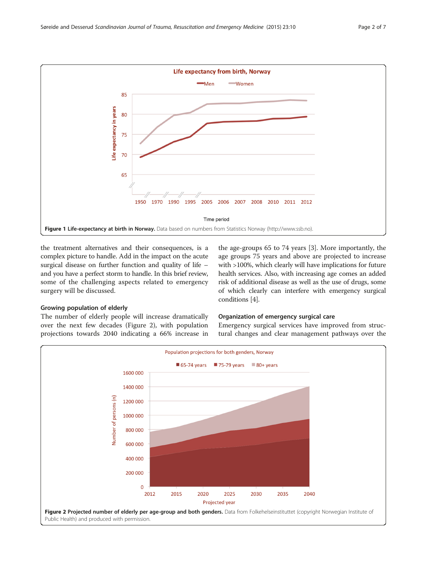<span id="page-1-0"></span>

the treatment alternatives and their consequences, is a complex picture to handle. Add in the impact on the acute surgical disease on further function and quality of life – and you have a perfect storm to handle. In this brief review, some of the challenging aspects related to emergency surgery will be discussed.

## Growing population of elderly

The number of elderly people will increase dramatically over the next few decades (Figure 2), with population projections towards 2040 indicating a 66% increase in

the age-groups 65 to 74 years [[3](#page-5-0)]. More importantly, the age groups 75 years and above are projected to increase with >100%, which clearly will have implications for future health services. Also, with increasing age comes an added risk of additional disease as well as the use of drugs, some of which clearly can interfere with emergency surgical conditions [\[4](#page-5-0)].

#### Organization of emergency surgical care

Emergency surgical services have improved from structural changes and clear management pathways over the

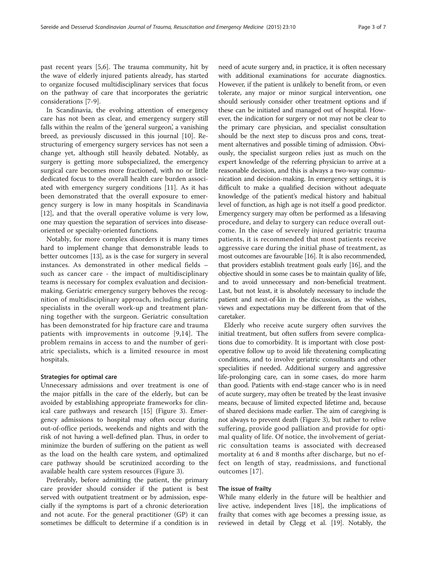past recent years [\[5,6](#page-5-0)]. The trauma community, hit by the wave of elderly injured patients already, has started to organize focused multidisciplinary services that focus on the pathway of care that incorporates the geriatric considerations [[7-9](#page-5-0)].

In Scandinavia, the evolving attention of emergency care has not been as clear, and emergency surgery still falls within the realm of the 'general surgeon', a vanishing breed, as previously discussed in this journal [[10\]](#page-5-0). Restructuring of emergency surgery services has not seen a change yet, although still heavily debated. Notably, as surgery is getting more subspecialized, the emergency surgical care becomes more fractioned, with no or little dedicated focus to the overall health care burden associated with emergency surgery conditions [[11](#page-5-0)]. As it has been demonstrated that the overall exposure to emergency surgery is low in many hospitals in Scandinavia [[12\]](#page-5-0), and that the overall operative volume is very low, one may question the separation of services into diseaseoriented or specialty-oriented functions.

Notably, for more complex disorders it is many times hard to implement change that demonstrable leads to better outcomes [\[13](#page-5-0)], as is the case for surgery in several instances. As demonstrated in other medical fields – such as cancer care - the impact of multidisciplinary teams is necessary for complex evaluation and decisionmaking. Geriatric emergency surgery behoves the recognition of multidisciplinary approach, including geriatric specialists in the overall work-up and treatment planning together with the surgeon. Geriatric consultation has been demonstrated for hip fracture care and trauma patients with improvements in outcome [\[9](#page-5-0),[14](#page-5-0)]. The problem remains in access to and the number of geriatric specialists, which is a limited resource in most hospitals.

#### Strategies for optimal care

Unnecessary admissions and over treatment is one of the major pitfalls in the care of the elderly, but can be avoided by establishing appropriate frameworks for clinical care pathways and research [[15\]](#page-5-0) (Figure [3\)](#page-3-0). Emergency admissions to hospital may often occur during out-of-office periods, weekends and nights and with the risk of not having a well-defined plan. Thus, in order to minimize the burden of suffering on the patient as well as the load on the health care system, and optimalized care pathway should be scrutinized according to the available health care system resources (Figure [3](#page-3-0)).

Preferably, before admitting the patient, the primary care provider should consider if the patient is best served with outpatient treatment or by admission, especially if the symptoms is part of a chronic deterioration and not acute. For the general practitioner (GP) it can sometimes be difficult to determine if a condition is in

need of acute surgery and, in practice, it is often necessary with additional examinations for accurate diagnostics. However, if the patient is unlikely to benefit from, or even tolerate, any major or minor surgical intervention, one should seriously consider other treatment options and if these can be initiated and managed out of hospital. However, the indication for surgery or not may not be clear to the primary care physician, and specialist consultation should be the next step to discuss pros and cons, treatment alternatives and possible timing of admission. Obviously, the specialist surgeon relies just as much on the expert knowledge of the referring physician to arrive at a reasonable decision, and this is always a two-way communication and decision-making. In emergency settings, it is difficult to make a qualified decision without adequate knowledge of the patient's medical history and habitual level of function, as high age is not itself a good predictor. Emergency surgery may often be performed as a lifesaving procedure, and delay to surgery can reduce overall outcome. In the case of severely injured geriatric trauma patients, it is recommended that most patients receive aggressive care during the initial phase of treatment, as most outcomes are favourable [\[16](#page-5-0)]. It is also recommended, that providers establish treatment goals early [\[16\]](#page-5-0), and the objective should in some cases be to maintain quality of life, and to avoid unnecessary and non-beneficial treatment. Last, but not least, it is absolutely necessary to include the patient and next-of-kin in the discussion, as the wishes, views and expectations may be different from that of the caretaker.

Elderly who receive acute surgery often survives the initial treatment, but often suffers from severe complications due to comorbidity. It is important with close postoperative follow up to avoid life threatening complicating conditions, and to involve geriatric consultants and other specialities if needed. Additional surgery and aggressive life-prolonging care, can in some cases, do more harm than good. Patients with end-stage cancer who is in need of acute surgery, may often be treated by the least invasive means, because of limited expected lifetime and, because of shared decisions made earlier. The aim of caregiving is not always to prevent death (Figure [3\)](#page-3-0), but rather to relive suffering, provide good palliation and provide for optimal quality of life. Of notice, the involvement of geriatric consultation teams is associated with decreased mortality at 6 and 8 months after discharge, but no effect on length of stay, readmissions, and functional outcomes [[17\]](#page-5-0).

#### The issue of frailty

While many elderly in the future will be healthier and live active, independent lives [[18\]](#page-5-0), the implications of frailty that comes with age becomes a pressing issue, as reviewed in detail by Clegg et al. [[19\]](#page-5-0). Notably, the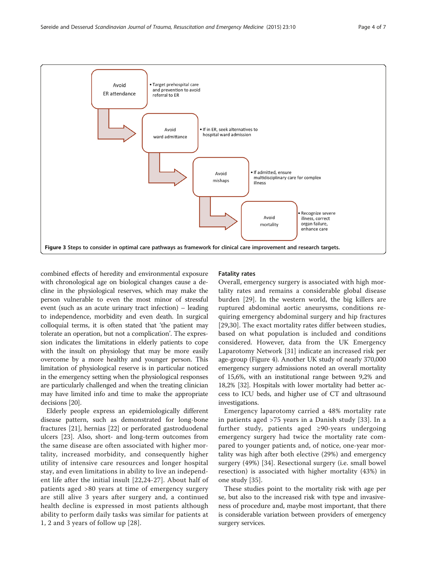<span id="page-3-0"></span>

combined effects of heredity and environmental exposure with chronological age on biological changes cause a decline in the physiological reserves, which may make the person vulnerable to even the most minor of stressful event (such as an acute urinary tract infection) – leading to independence, morbidity and even death. In surgical colloquial terms, it is often stated that 'the patient may tolerate an operation, but not a complication'. The expression indicates the limitations in elderly patients to cope with the insult on physiology that may be more easily overcome by a more healthy and younger person. This limitation of physiological reserve is in particular noticed in the emergency setting when the physiological responses are particularly challenged and when the treating clinician may have limited info and time to make the appropriate decisions [\[20\]](#page-5-0).

Elderly people express an epidemiologically different disease pattern, such as demonstrated for long-bone fractures [[21\]](#page-5-0), hernias [[22\]](#page-5-0) or perforated gastroduodenal ulcers [\[23](#page-5-0)]. Also, short- and long-term outcomes from the same disease are often associated with higher mortality, increased morbidity, and consequently higher utility of intensive care resources and longer hospital stay, and even limitations in ability to live an independent life after the initial insult [[22,](#page-5-0)[24-27](#page-6-0)]. About half of patients aged >80 years at time of emergency surgery are still alive 3 years after surgery and, a continued health decline is expressed in most patients although ability to perform daily tasks was similar for patients at 1, 2 and 3 years of follow up [[28\]](#page-6-0).

## Fatality rates

Overall, emergency surgery is associated with high mortality rates and remains a considerable global disease burden [\[29](#page-6-0)]. In the western world, the big killers are ruptured abdominal aortic aneurysms, conditions requiring emergency abdominal surgery and hip fractures [[29,30](#page-6-0)]. The exact mortality rates differ between studies, based on what population is included and conditions considered. However, data from the UK Emergency Laparotomy Network [\[31](#page-6-0)] indicate an increased risk per age-group (Figure [4](#page-4-0)). Another UK study of nearly 370,000 emergency surgery admissions noted an overall mortality of 15,6%, with an institutional range between 9,2% and 18,2% [[32](#page-6-0)]. Hospitals with lower mortality had better access to ICU beds, and higher use of CT and ultrasound investigations.

Emergency laparotomy carried a 48% mortality rate in patients aged >75 years in a Danish study [[33\]](#page-6-0). In a further study, patients aged ≥90-years undergoing emergency surgery had twice the mortality rate compared to younger patients and, of notice, one-year mortality was high after both elective (29%) and emergency surgery (49%) [\[34](#page-6-0)]. Resectional surgery (i.e. small bowel resection) is associated with higher mortality (43%) in one study [[35\]](#page-6-0).

These studies point to the mortality risk with age per se, but also to the increased risk with type and invasiveness of procedure and, maybe most important, that there is considerable variation between providers of emergency surgery services.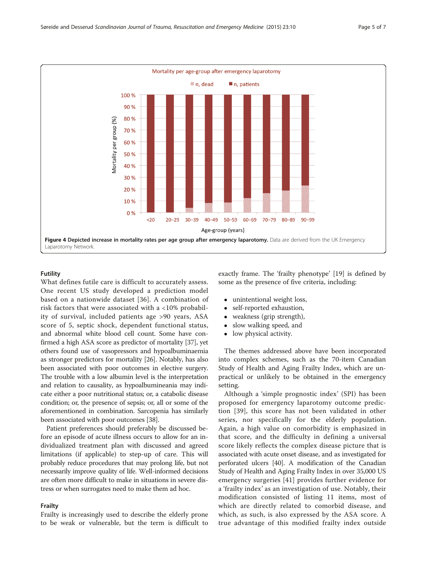<span id="page-4-0"></span>

## Futility

What defines futile care is difficult to accurately assess. One recent US study developed a prediction model based on a nationwide dataset [[36](#page-6-0)]. A combination of risk factors that were associated with a <10% probability of survival, included patients age >90 years, ASA score of 5, septic shock, dependent functional status, and abnormal white blood cell count. Some have confirmed a high ASA score as predictor of mortality [\[37\]](#page-6-0), yet others found use of vasopressors and hypoalbuminaemia as stronger predictors for mortality [\[26\]](#page-6-0). Notably, has also been associated with poor outcomes in elective surgery. The trouble with a low albumin level is the interpretation and relation to causality, as hypoalbumineania may indicate either a poor nutritional status; or, a catabolic disease condition; or, the presence of sepsis; or, all or some of the aforementioned in combination. Sarcopenia has similarly been associated with poor outcomes [\[38](#page-6-0)].

Patient preferences should preferably be discussed before an episode of acute illness occurs to allow for an individualized treatment plan with discussed and agreed limitations (if applicable) to step-up of care. This will probably reduce procedures that may prolong life, but not necessarily improve quality of life. Well-informed decisions are often more difficult to make in situations in severe distress or when surrogates need to make them ad hoc.

## Frailty

Frailty is increasingly used to describe the elderly prone to be weak or vulnerable, but the term is difficult to exactly frame. The 'frailty phenotype' [[19\]](#page-5-0) is defined by some as the presence of five criteria, including:

- unintentional weight loss,<br>• self-reported exhaustion.
- self-reported exhaustion,
- weakness (grip strength),<br>• slow walking speed, and
- slow walking speed, and
- low physical activity.

The themes addressed above have been incorporated into complex schemes, such as the 70-item Canadian Study of Health and Aging Frailty Index, which are unpractical or unlikely to be obtained in the emergency setting.

Although a 'simple prognostic index' (SPI) has been proposed for emergency laparotomy outcome prediction [[39\]](#page-6-0), this score has not been validated in other series, nor specifically for the elderly population. Again, a high value on comorbidity is emphasized in that score, and the difficulty in defining a universal score likely reflects the complex disease picture that is associated with acute onset disease, and as investigated for perforated ulcers [[40](#page-6-0)]. A modification of the Canadian Study of Health and Aging Frailty Index in over 35,000 US emergency surgeries [[41](#page-6-0)] provides further evidence for a 'frailty index' as an investigation of use. Notably, their modification consisted of listing 11 items, most of which are directly related to comorbid disease, and which, as such, is also expressed by the ASA score. A true advantage of this modified frailty index outside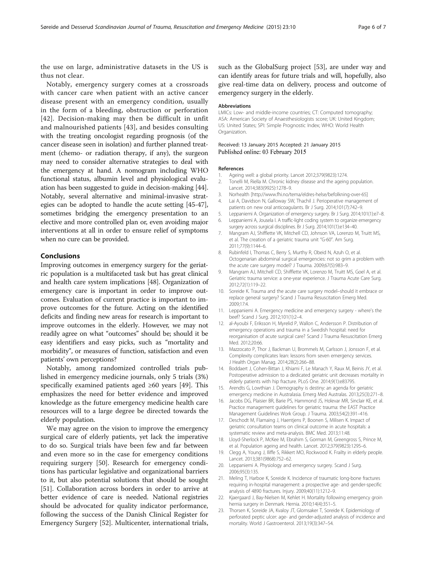<span id="page-5-0"></span>the use on large, administrative datasets in the US is thus not clear.

Notably, emergency surgery comes at a crossroads with cancer care when patient with an active cancer disease present with an emergency condition, usually in the form of a bleeding, obstruction or perforation [[42](#page-6-0)]. Decision-making may then be difficult in unfit and malnourished patients [[43](#page-6-0)], and besides consulting with the treating oncologist regarding prognosis (of the cancer disease seen in isolation) and further planned treatment (chemo- or radiation therapy, if any), the surgeon may need to consider alternative strategies to deal with the emergency at hand. A nomogram including WHO functional status, albumin level and physiological evaluation has been suggested to guide in decision-making [[44](#page-6-0)]. Notably, several alternative and minimal-invasive strategies can be adopted to handle the acute setting [[45](#page-6-0)-[47](#page-6-0)], sometimes bridging the emergency presentation to an elective and more controlled plan or, even avoiding major interventions at all in order to ensure relief of symptoms when no cure can be provided.

### Conclusions

Improving outcomes in emergency surgery for the geriatric population is a multifaceted task but has great clinical and health care system implications [[48](#page-6-0)]. Organization of emergency care is important in order to improve outcomes. Evaluation of current practice is important to improve outcomes for the future. Acting on the identified deficits and finding new areas for research is important to improve outcomes in the elderly. However, we may not readily agree on what "outcomes" should be; should it be easy identifiers and easy picks, such as "mortality and morbidity", or measures of function, satisfaction and even patients' own perceptions?

Notably, among randomized controlled trials published in emergency medicine journals, only 5 trials (3%) specifically examined patients aged ≥60 years [\[49](#page-6-0)]. This emphasizes the need for better evidence and improved knowledge as the future emergency medicine health care resources will to a large degree be directed towards the elderly population.

We may agree on the vision to improve the emergency surgical care of elderly patients, yet lack the imperative to do so. Surgical trials have been few and far between and even more so in the case for emergency conditions requiring surgery [\[50](#page-6-0)]. Research for emergency conditions has particular legislative and organizational barriers to it, but also potential solutions that should be sought [[51\]](#page-6-0). Collaboration across borders in order to arrive at better evidence of care is needed. National registries should be advocated for quality indicator performance, following the success of the Danish Clinical Register for Emergency Surgery [\[52\]](#page-6-0). Multicenter, international trials, such as the GlobalSurg project [\[53\]](#page-6-0), are under way and can identify areas for future trials and will, hopefully, also give real-time data on delivery, process and outcome of emergency surgery in the elderly.

#### Abbreviations

LMICs: Low- and middle-income countries; CT: Computed tomography; ASA: American Society of Anaesthesiologists score; UK: United Kingdom; US: United States; SPI: Simple Prognostic Index; WHO: World Health Organization.

#### Received: 13 January 2015 Accepted: 21 January 2015 Published online: 03 February 2015

#### References

- 1. Ageing well: a global priority. Lancet 2012;379(9823):1274.
- 2. Tonelli M, Riella M. Chronic kidney disease and the ageing population. Lancet. 2014;383(9925):1278–9.
- 3. Norhealth [[http://www.fhi.no/tema/eldres-helse/befolkning-over-65\]](http://www.fhi.no/tema/eldres-helse/befolkning-over-65)
- 4. Lai A, Davidson N, Galloway SW, Thachil J. Perioperative management of patients on new oral anticoagulants. Br J Surg. 2014;101(7):742–9.
- 5. Leppaniemi A. Organization of emergency surgery. Br J Surg. 2014;101(1):e7–8.
- 6. Leppaniemi A, Jousela I. A traffic-light coding system to organize emergency surgery across surgical disciplines. Br J Surg. 2014;101(1):e134–40.
- 7. Mangram AJ, Shifflette VK, Mitchell CD, Johnson VA, Lorenzo M, Truitt MS, et al. The creation of a geriatric trauma unit "G-60". Am Surg. 2011;77(9):1144–6.
- 8. Rubinfeld I, Thomas C, Berry S, Murthy R, Obeid N, Azuh O, et al. Octogenarian abdominal surgical emergencies: not so grim a problem with the acute care surgery model? J Trauma. 2009;67(5):983–9.
- 9. Mangram AJ, Mitchell CD, Shifflette VK, Lorenzo M, Truitt MS, Goel A, et al. Geriatric trauma service: a one-year experience. J Trauma Acute Care Surg. 2012;72(1):119–22.
- 10. Soreide K. Trauma and the acute care surgery model–should it embrace or replace general surgery? Scand J Trauma Resuscitation Emerg Med. 2009;17:4.
- 11. Leppaniemi A. Emergency medicine and emergency surgery where's the beef? Scand J Surg. 2012;101(1):2–4.
- 12. al-Ayoubi F, Eriksson H, Myrelid P, Wallon C, Andersson P. Distribution of emergency operations and trauma in a Swedish hospital: need for reorganisation of acute surgical care? Scand J Trauma Resuscitation Emerg Med. 2012;20:66.
- 13. Mazzocato P, Thor J, Backman U, Brommels M, Carlsson J, Jonsson F, et al. Complexity complicates lean: lessons from seven emergency services. J Health Organ Manag. 2014;28(2):266–88.
- 14. Boddaert J, Cohen-Bittan J, Khiami F, Le Manach Y, Raux M, Beinis JY, et al. Postoperative admission to a dedicated geriatric unit decreases mortality in elderly patients with hip fracture. PLoS One. 2014;9(1):e83795.
- 15. Arendts G, Lowthian J. Demography is destiny: an agenda for geriatric emergency medicine in Australasia. Emerg Med Australas. 2013;25(3):271–8.
- 16. Jacobs DG, Plaisier BR, Barie PS, Hammond JS, Holevar MR, Sinclair KE, et al. Practice management guidelines for geriatric trauma: the EAST Practice Management Guidelines Work Group. J Trauma. 2003;54(2):391–416.
- 17. Deschodt M, Flamaing J, Haentjens P, Boonen S, Milisen K. Impact of geriatric consultation teams on clinical outcome in acute hospitals: a systematic review and meta-analysis. BMC Med. 2013;11:48.
- 18. Lloyd-Sherlock P, McKee M, Ebrahim S, Gorman M, Greengross S, Prince M, et al. Population ageing and health. Lancet. 2012;379(9823):1295–6.
- 19. Clegg A, Young J, Iliffe S, Rikkert MO, Rockwood K. Frailty in elderly people. Lancet. 2013;381(9868):752–62.
- 20. Leppaniemi A. Physiology and emergency surgery. Scand J Surg. 2006;95(3):135.
- 21. Meling T, Harboe K, Soreide K. Incidence of traumatic long-bone fractures requiring in-hospital management: a prospective age- and gender-specific analysis of 4890 fractures. Injury. 2009;40(11):1212–9.
- 22. Kjaergaard J, Bay-Nielsen M, Kehlet H. Mortality following emergency groin hernia surgery in Denmark. Hernia. 2010;14(4):351–5.
- 23. Thorsen K, Soreide JA, Kvaloy JT, Glomsaker T, Soreide K. Epidemiology of perforated peptic ulcer: age- and gender-adjusted analysis of incidence and mortality. World J Gastroenterol. 2013;19(3):347–54.